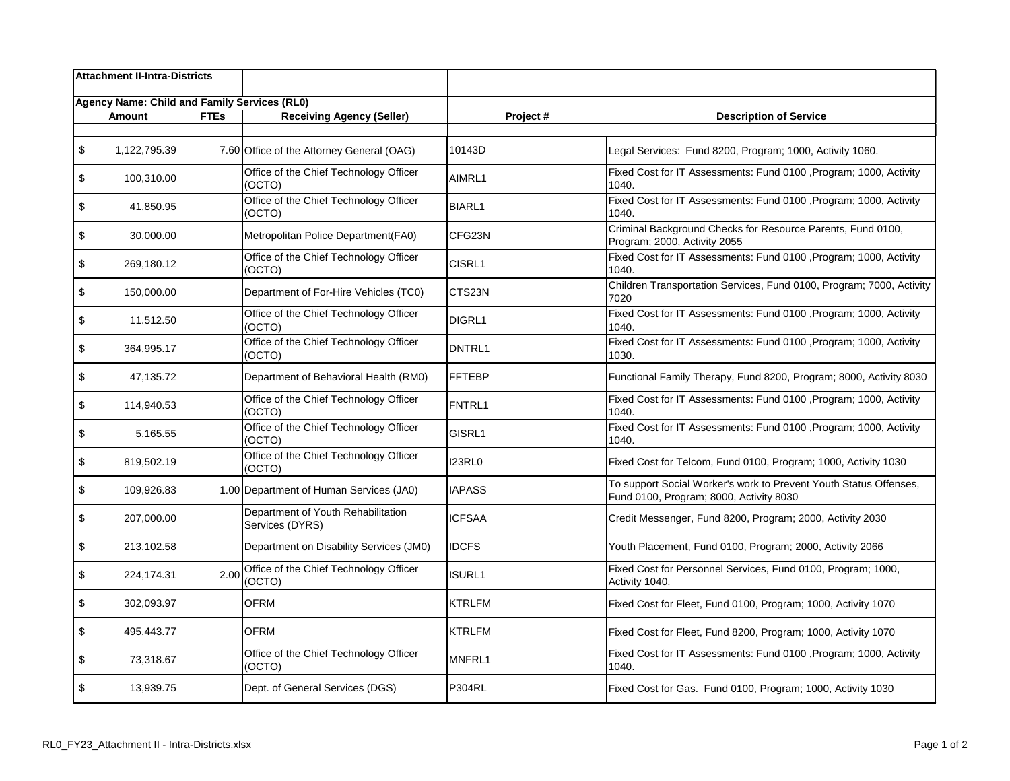| <b>Attachment II-Intra-Districts</b> |                                                     |             |                                                       |               |                                                                                                              |
|--------------------------------------|-----------------------------------------------------|-------------|-------------------------------------------------------|---------------|--------------------------------------------------------------------------------------------------------------|
|                                      | <b>Agency Name: Child and Family Services (RL0)</b> |             |                                                       |               |                                                                                                              |
|                                      | Amount                                              | <b>FTEs</b> | <b>Receiving Agency (Seller)</b>                      | Project#      | <b>Description of Service</b>                                                                                |
|                                      |                                                     |             |                                                       |               |                                                                                                              |
| \$                                   | 1,122,795.39                                        |             | 7.60 Office of the Attorney General (OAG)             | 10143D        | Legal Services: Fund 8200, Program; 1000, Activity 1060.                                                     |
| \$                                   | 100,310.00                                          |             | Office of the Chief Technology Officer<br>(OCTO)      | AIMRL1        | Fixed Cost for IT Assessments: Fund 0100, Program; 1000, Activity<br>1040.                                   |
| \$                                   | 41,850.95                                           |             | Office of the Chief Technology Officer<br>(OCTO)      | <b>BIARL1</b> | Fixed Cost for IT Assessments: Fund 0100, Program; 1000, Activity<br>1040.                                   |
| \$                                   | 30,000.00                                           |             | Metropolitan Police Department(FA0)                   | CFG23N        | Criminal Background Checks for Resource Parents, Fund 0100,<br>Program; 2000, Activity 2055                  |
| \$                                   | 269,180.12                                          |             | Office of the Chief Technology Officer<br>(OCTO)      | CISRL1        | Fixed Cost for IT Assessments: Fund 0100, Program; 1000, Activity<br>1040.                                   |
| \$                                   | 150,000.00                                          |             | Department of For-Hire Vehicles (TC0)                 | CTS23N        | Children Transportation Services, Fund 0100, Program; 7000, Activity<br>7020                                 |
| \$                                   | 11,512.50                                           |             | Office of the Chief Technology Officer<br>(OCTO)      | DIGRL1        | Fixed Cost for IT Assessments: Fund 0100, Program; 1000, Activity<br>1040.                                   |
| \$                                   | 364,995.17                                          |             | Office of the Chief Technology Officer<br>(OCTO)      | DNTRL1        | Fixed Cost for IT Assessments: Fund 0100, Program; 1000, Activity<br>1030.                                   |
| \$                                   | 47,135.72                                           |             | Department of Behavioral Health (RM0)                 | <b>FFTEBP</b> | Functional Family Therapy, Fund 8200, Program; 8000, Activity 8030                                           |
| \$                                   | 114,940.53                                          |             | Office of the Chief Technology Officer<br>(OCTO)      | FNTRL1        | Fixed Cost for IT Assessments: Fund 0100, Program; 1000, Activity<br>1040.                                   |
| \$                                   | 5,165.55                                            |             | Office of the Chief Technology Officer<br>(OCTO)      | GISRL1        | Fixed Cost for IT Assessments: Fund 0100, Program; 1000, Activity<br>1040.                                   |
| \$                                   | 819,502.19                                          |             | Office of the Chief Technology Officer<br>(OCTO)      | <b>I23RL0</b> | Fixed Cost for Telcom, Fund 0100, Program; 1000, Activity 1030                                               |
| \$                                   | 109,926.83                                          |             | 1.00 Department of Human Services (JA0)               | <b>IAPASS</b> | To support Social Worker's work to Prevent Youth Status Offenses,<br>Fund 0100, Program; 8000, Activity 8030 |
| \$                                   | 207,000.00                                          |             | Department of Youth Rehabilitation<br>Services (DYRS) | <b>ICFSAA</b> | Credit Messenger, Fund 8200, Program; 2000, Activity 2030                                                    |
| \$                                   | 213,102.58                                          |             | Department on Disability Services (JM0)               | <b>IDCFS</b>  | Youth Placement, Fund 0100, Program; 2000, Activity 2066                                                     |
| \$                                   | 224, 174. 31                                        | 2.00        | Office of the Chief Technology Officer<br>(OCTO)      | <b>ISURL1</b> | Fixed Cost for Personnel Services, Fund 0100, Program; 1000,<br>Activity 1040.                               |
| \$                                   | 302,093.97                                          |             | <b>OFRM</b>                                           | <b>KTRLFM</b> | Fixed Cost for Fleet, Fund 0100, Program; 1000, Activity 1070                                                |
| $\boldsymbol{\mathsf{S}}$            | 495,443.77                                          |             | <b>OFRM</b>                                           | <b>KTRLFM</b> | Fixed Cost for Fleet, Fund 8200, Program; 1000, Activity 1070                                                |
| \$                                   | 73,318.67                                           |             | Office of the Chief Technology Officer<br>(OCTO)      | MNFRL1        | Fixed Cost for IT Assessments: Fund 0100, Program; 1000, Activity<br>1040.                                   |
| \$                                   | 13,939.75                                           |             | Dept. of General Services (DGS)                       | <b>P304RL</b> | Fixed Cost for Gas. Fund 0100, Program; 1000, Activity 1030                                                  |